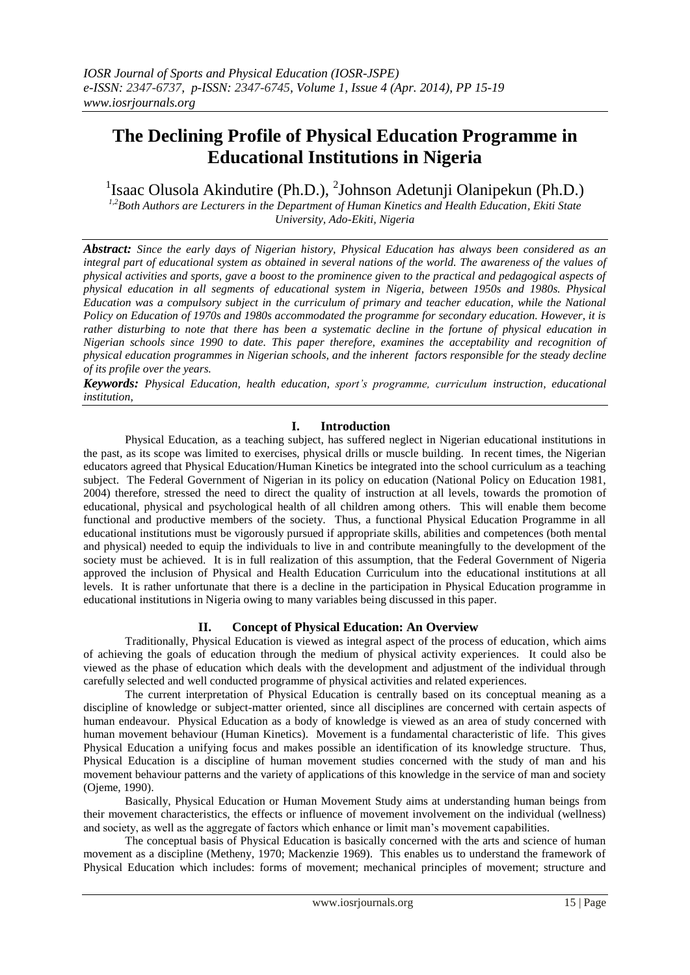# **The Declining Profile of Physical Education Programme in Educational Institutions in Nigeria**

<sup>1</sup>Isaac Olusola Akindutire (Ph.D.), <sup>2</sup>Johnson Adetunji Olanipekun (Ph.D.)

*1,2Both Authors are Lecturers in the Department of Human Kinetics and Health Education, Ekiti State University, Ado-Ekiti, Nigeria*

*Abstract: Since the early days of Nigerian history, Physical Education has always been considered as an*  integral part of educational system as obtained in several nations of the world. The awareness of the values of *physical activities and sports, gave a boost to the prominence given to the practical and pedagogical aspects of physical education in all segments of educational system in Nigeria, between 1950s and 1980s. Physical Education was a compulsory subject in the curriculum of primary and teacher education, while the National Policy on Education of 1970s and 1980s accommodated the programme for secondary education. However, it is rather disturbing to note that there has been a systematic decline in the fortune of physical education in Nigerian schools since 1990 to date. This paper therefore, examines the acceptability and recognition of physical education programmes in Nigerian schools, and the inherent factors responsible for the steady decline of its profile over the years.* 

*Keywords: Physical Education, health education, sport's programme, curriculum instruction, educational institution,*

## **I. Introduction**

Physical Education, as a teaching subject, has suffered neglect in Nigerian educational institutions in the past, as its scope was limited to exercises, physical drills or muscle building. In recent times, the Nigerian educators agreed that Physical Education/Human Kinetics be integrated into the school curriculum as a teaching subject. The Federal Government of Nigerian in its policy on education (National Policy on Education 1981, 2004) therefore, stressed the need to direct the quality of instruction at all levels, towards the promotion of educational, physical and psychological health of all children among others. This will enable them become functional and productive members of the society. Thus, a functional Physical Education Programme in all educational institutions must be vigorously pursued if appropriate skills, abilities and competences (both mental and physical) needed to equip the individuals to live in and contribute meaningfully to the development of the society must be achieved. It is in full realization of this assumption, that the Federal Government of Nigeria approved the inclusion of Physical and Health Education Curriculum into the educational institutions at all levels. It is rather unfortunate that there is a decline in the participation in Physical Education programme in educational institutions in Nigeria owing to many variables being discussed in this paper.

## **II. Concept of Physical Education: An Overview**

Traditionally, Physical Education is viewed as integral aspect of the process of education, which aims of achieving the goals of education through the medium of physical activity experiences. It could also be viewed as the phase of education which deals with the development and adjustment of the individual through carefully selected and well conducted programme of physical activities and related experiences.

The current interpretation of Physical Education is centrally based on its conceptual meaning as a discipline of knowledge or subject-matter oriented, since all disciplines are concerned with certain aspects of human endeavour. Physical Education as a body of knowledge is viewed as an area of study concerned with human movement behaviour (Human Kinetics). Movement is a fundamental characteristic of life. This gives Physical Education a unifying focus and makes possible an identification of its knowledge structure. Thus, Physical Education is a discipline of human movement studies concerned with the study of man and his movement behaviour patterns and the variety of applications of this knowledge in the service of man and society (Ojeme, 1990).

Basically, Physical Education or Human Movement Study aims at understanding human beings from their movement characteristics, the effects or influence of movement involvement on the individual (wellness) and society, as well as the aggregate of factors which enhance or limit man's movement capabilities.

The conceptual basis of Physical Education is basically concerned with the arts and science of human movement as a discipline (Metheny, 1970; Mackenzie 1969). This enables us to understand the framework of Physical Education which includes: forms of movement; mechanical principles of movement; structure and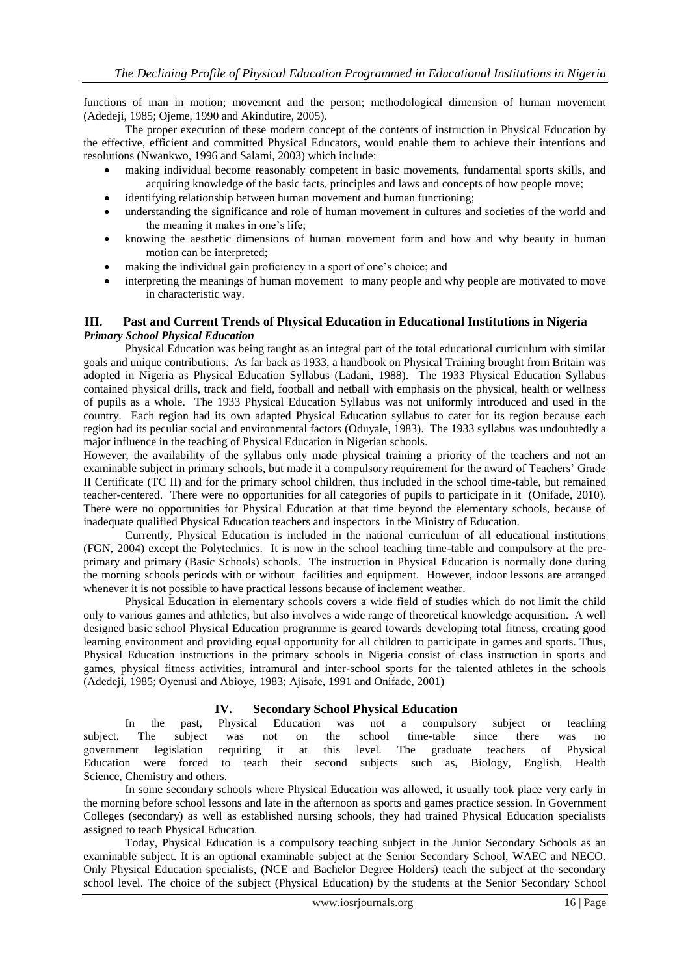functions of man in motion; movement and the person; methodological dimension of human movement (Adedeji, 1985; Ojeme, 1990 and Akindutire, 2005).

The proper execution of these modern concept of the contents of instruction in Physical Education by the effective, efficient and committed Physical Educators, would enable them to achieve their intentions and resolutions (Nwankwo, 1996 and Salami, 2003) which include:

- making individual become reasonably competent in basic movements, fundamental sports skills, and acquiring knowledge of the basic facts, principles and laws and concepts of how people move;
- identifying relationship between human movement and human functioning;
- understanding the significance and role of human movement in cultures and societies of the world and the meaning it makes in one's life;
- knowing the aesthetic dimensions of human movement form and how and why beauty in human motion can be interpreted;
- making the individual gain proficiency in a sport of one's choice; and
- interpreting the meanings of human movement to many people and why people are motivated to move in characteristic way.

#### **III. Past and Current Trends of Physical Education in Educational Institutions in Nigeria** *Primary School Physical Education*

Physical Education was being taught as an integral part of the total educational curriculum with similar goals and unique contributions. As far back as 1933, a handbook on Physical Training brought from Britain was adopted in Nigeria as Physical Education Syllabus (Ladani, 1988). The 1933 Physical Education Syllabus contained physical drills, track and field, football and netball with emphasis on the physical, health or wellness of pupils as a whole. The 1933 Physical Education Syllabus was not uniformly introduced and used in the country. Each region had its own adapted Physical Education syllabus to cater for its region because each region had its peculiar social and environmental factors (Oduyale, 1983). The 1933 syllabus was undoubtedly a major influence in the teaching of Physical Education in Nigerian schools.

However, the availability of the syllabus only made physical training a priority of the teachers and not an examinable subject in primary schools, but made it a compulsory requirement for the award of Teachers' Grade II Certificate (TC II) and for the primary school children, thus included in the school time-table, but remained teacher-centered. There were no opportunities for all categories of pupils to participate in it (Onifade, 2010). There were no opportunities for Physical Education at that time beyond the elementary schools, because of inadequate qualified Physical Education teachers and inspectors in the Ministry of Education.

Currently, Physical Education is included in the national curriculum of all educational institutions (FGN, 2004) except the Polytechnics. It is now in the school teaching time-table and compulsory at the preprimary and primary (Basic Schools) schools. The instruction in Physical Education is normally done during the morning schools periods with or without facilities and equipment. However, indoor lessons are arranged whenever it is not possible to have practical lessons because of inclement weather.

Physical Education in elementary schools covers a wide field of studies which do not limit the child only to various games and athletics, but also involves a wide range of theoretical knowledge acquisition. A well designed basic school Physical Education programme is geared towards developing total fitness, creating good learning environment and providing equal opportunity for all children to participate in games and sports. Thus, Physical Education instructions in the primary schools in Nigeria consist of class instruction in sports and games, physical fitness activities, intramural and inter-school sports for the talented athletes in the schools (Adedeji, 1985; Oyenusi and Abioye, 1983; Ajisafe, 1991 and Onifade, 2001)

### **IV. Secondary School Physical Education**

In the past, Physical Education was not a compulsory subject or teaching subject. The subject was not on the school time-table since there was no government legislation requiring it at this level. The graduate teachers of Physical Education were forced to teach their second subjects such as, Biology, English, Health Science, Chemistry and others.

In some secondary schools where Physical Education was allowed, it usually took place very early in the morning before school lessons and late in the afternoon as sports and games practice session. In Government Colleges (secondary) as well as established nursing schools, they had trained Physical Education specialists assigned to teach Physical Education.

Today, Physical Education is a compulsory teaching subject in the Junior Secondary Schools as an examinable subject. It is an optional examinable subject at the Senior Secondary School, WAEC and NECO. Only Physical Education specialists, (NCE and Bachelor Degree Holders) teach the subject at the secondary school level. The choice of the subject (Physical Education) by the students at the Senior Secondary School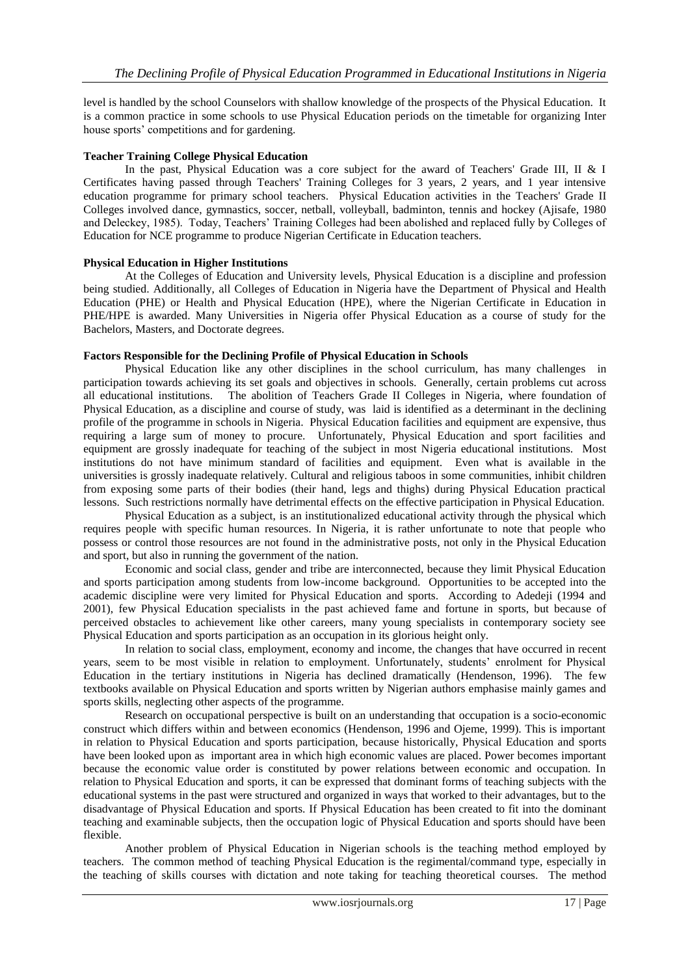level is handled by the school Counselors with shallow knowledge of the prospects of the Physical Education. It is a common practice in some schools to use Physical Education periods on the timetable for organizing Inter house sports' competitions and for gardening.

#### **Teacher Training College Physical Education**

In the past, Physical Education was a core subject for the award of Teachers' Grade III, II & I Certificates having passed through Teachers' Training Colleges for 3 years, 2 years, and 1 year intensive education programme for primary school teachers. Physical Education activities in the Teachers' Grade II Colleges involved dance, gymnastics, soccer, netball, volleyball, badminton, tennis and hockey (Ajisafe, 1980 and Deleckey, 1985). Today, Teachers' Training Colleges had been abolished and replaced fully by Colleges of Education for NCE programme to produce Nigerian Certificate in Education teachers.

#### **Physical Education in Higher Institutions**

At the Colleges of Education and University levels, Physical Education is a discipline and profession being studied. Additionally, all Colleges of Education in Nigeria have the Department of Physical and Health Education (PHE) or Health and Physical Education (HPE), where the Nigerian Certificate in Education in PHE/HPE is awarded. Many Universities in Nigeria offer Physical Education as a course of study for the Bachelors, Masters, and Doctorate degrees.

#### **Factors Responsible for the Declining Profile of Physical Education in Schools**

Physical Education like any other disciplines in the school curriculum, has many challenges in participation towards achieving its set goals and objectives in schools. Generally, certain problems cut across all educational institutions. The abolition of Teachers Grade II Colleges in Nigeria, where foundation of Physical Education, as a discipline and course of study, was laid is identified as a determinant in the declining profile of the programme in schools in Nigeria. Physical Education facilities and equipment are expensive, thus requiring a large sum of money to procure. Unfortunately, Physical Education and sport facilities and equipment are grossly inadequate for teaching of the subject in most Nigeria educational institutions. Most institutions do not have minimum standard of facilities and equipment. Even what is available in the universities is grossly inadequate relatively. Cultural and religious taboos in some communities, inhibit children from exposing some parts of their bodies (their hand, legs and thighs) during Physical Education practical lessons. Such restrictions normally have detrimental effects on the effective participation in Physical Education.

Physical Education as a subject, is an institutionalized educational activity through the physical which requires people with specific human resources. In Nigeria, it is rather unfortunate to note that people who possess or control those resources are not found in the administrative posts, not only in the Physical Education and sport, but also in running the government of the nation.

Economic and social class, gender and tribe are interconnected, because they limit Physical Education and sports participation among students from low-income background. Opportunities to be accepted into the academic discipline were very limited for Physical Education and sports. According to Adedeji (1994 and 2001), few Physical Education specialists in the past achieved fame and fortune in sports, but because of perceived obstacles to achievement like other careers, many young specialists in contemporary society see Physical Education and sports participation as an occupation in its glorious height only.

In relation to social class, employment, economy and income, the changes that have occurred in recent years, seem to be most visible in relation to employment. Unfortunately, students' enrolment for Physical Education in the tertiary institutions in Nigeria has declined dramatically (Hendenson, 1996). The few textbooks available on Physical Education and sports written by Nigerian authors emphasise mainly games and sports skills, neglecting other aspects of the programme.

Research on occupational perspective is built on an understanding that occupation is a socio-economic construct which differs within and between economics (Hendenson, 1996 and Ojeme, 1999). This is important in relation to Physical Education and sports participation, because historically, Physical Education and sports have been looked upon as important area in which high economic values are placed. Power becomes important because the economic value order is constituted by power relations between economic and occupation. In relation to Physical Education and sports, it can be expressed that dominant forms of teaching subjects with the educational systems in the past were structured and organized in ways that worked to their advantages, but to the disadvantage of Physical Education and sports. If Physical Education has been created to fit into the dominant teaching and examinable subjects, then the occupation logic of Physical Education and sports should have been flexible.

Another problem of Physical Education in Nigerian schools is the teaching method employed by teachers. The common method of teaching Physical Education is the regimental/command type, especially in the teaching of skills courses with dictation and note taking for teaching theoretical courses. The method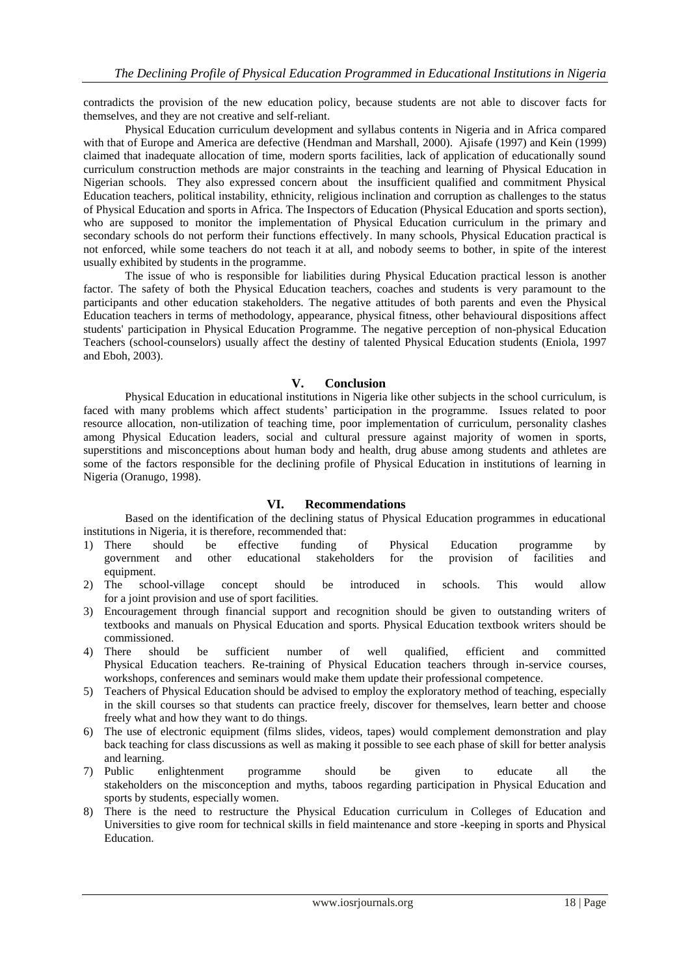contradicts the provision of the new education policy, because students are not able to discover facts for themselves, and they are not creative and self-reliant.

Physical Education curriculum development and syllabus contents in Nigeria and in Africa compared with that of Europe and America are defective (Hendman and Marshall, 2000). Ajisafe (1997) and Kein (1999) claimed that inadequate allocation of time, modern sports facilities, lack of application of educationally sound curriculum construction methods are major constraints in the teaching and learning of Physical Education in Nigerian schools. They also expressed concern about the insufficient qualified and commitment Physical Education teachers, political instability, ethnicity, religious inclination and corruption as challenges to the status of Physical Education and sports in Africa. The Inspectors of Education (Physical Education and sports section), who are supposed to monitor the implementation of Physical Education curriculum in the primary and secondary schools do not perform their functions effectively. In many schools, Physical Education practical is not enforced, while some teachers do not teach it at all, and nobody seems to bother, in spite of the interest usually exhibited by students in the programme.

The issue of who is responsible for liabilities during Physical Education practical lesson is another factor. The safety of both the Physical Education teachers, coaches and students is very paramount to the participants and other education stakeholders. The negative attitudes of both parents and even the Physical Education teachers in terms of methodology, appearance, physical fitness, other behavioural dispositions affect students' participation in Physical Education Programme. The negative perception of non-physical Education Teachers (school-counselors) usually affect the destiny of talented Physical Education students (Eniola, 1997 and Eboh, 2003).

### **V. Conclusion**

Physical Education in educational institutions in Nigeria like other subjects in the school curriculum, is faced with many problems which affect students' participation in the programme. Issues related to poor resource allocation, non-utilization of teaching time, poor implementation of curriculum, personality clashes among Physical Education leaders, social and cultural pressure against majority of women in sports, superstitions and misconceptions about human body and health, drug abuse among students and athletes are some of the factors responsible for the declining profile of Physical Education in institutions of learning in Nigeria (Oranugo, 1998).

### **VI. Recommendations**

Based on the identification of the declining status of Physical Education programmes in educational institutions in Nigeria, it is therefore, recommended that:

- 1) There should be effective funding of Physical Education programme by government and other educational stakeholders for the provision of facilities and equipment.
- 2) The school-village concept should be introduced in schools. This would allow for a joint provision and use of sport facilities.
- 3) Encouragement through financial support and recognition should be given to outstanding writers of textbooks and manuals on Physical Education and sports. Physical Education textbook writers should be commissioned.
- 4) There should be sufficient number of well qualified, efficient and committed Physical Education teachers. Re-training of Physical Education teachers through in-service courses, workshops, conferences and seminars would make them update their professional competence.
- 5) Teachers of Physical Education should be advised to employ the exploratory method of teaching, especially in the skill courses so that students can practice freely, discover for themselves, learn better and choose freely what and how they want to do things.
- 6) The use of electronic equipment (films slides, videos, tapes) would complement demonstration and play back teaching for class discussions as well as making it possible to see each phase of skill for better analysis and learning.<br>
7) Public en
- 7) Public enlightenment programme should be given to educate all the stakeholders on the misconception and myths, taboos regarding participation in Physical Education and sports by students, especially women.
- 8) There is the need to restructure the Physical Education curriculum in Colleges of Education and Universities to give room for technical skills in field maintenance and store -keeping in sports and Physical Education.